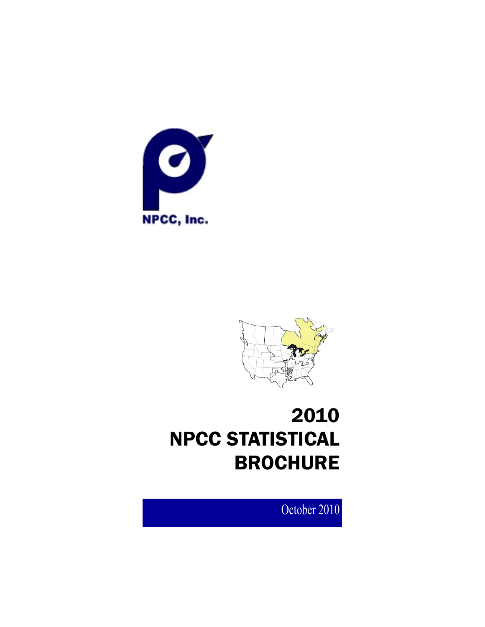



# 2010 NPCC STATISTICAL BROCHURE

October 2010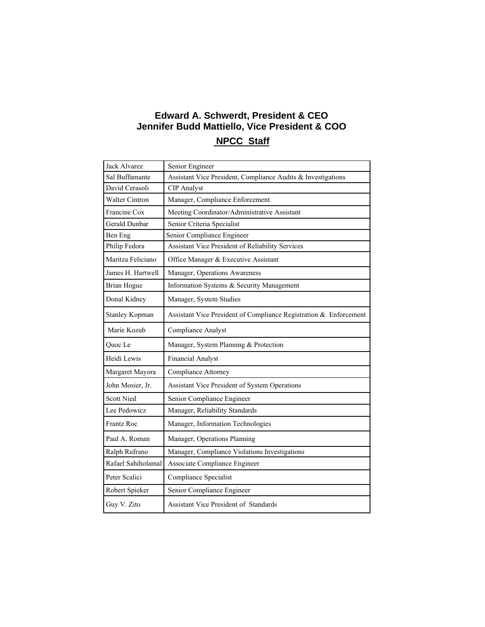# **Edward A. Schwerdt, President & CEO Jennifer Budd Mattiello, Vice President & COO NPCC Staff**

# Jack Alvarez Senior Engineer Sal Buffamante Assistant Vice President, Compliance Audits  $\&$  Investigations David Cerasoli CIP Analyst Walter Cintron Manager, Compliance Enforcement Francine Cox Meeting Coordinator/Administrative Assistant Gerald Dunbar Senior Criteria Specialist Philip Fedora Assistant Vice President of Reliability Services Maritza Feliciano | Office Manager & Executive Assistant James H. Hartwell | Manager, Operations Awareness Brian Hogue Information Systems & Security Management Donal Kidney | Manager, System Studies Stanley Kopman | Assistant Vice President of Compliance Registration & Enforcement Marie Kozub Compliance Analyst Quoc Le Manager, System Planning & Protection Heidi Lewis Financial Analyst Margaret Mayora Compliance Attorney John Mosier, Jr. Assistant Vice President of System Operations Scott Nied Senior Compliance Engineer Lee Pedowicz Manager, Reliability Standards Frantz Roc Manager, Information Technologies Paul A. Roman Manager, Operations Planning Ralph Rufrano Manager, Compliance Violations Investigations Rafael Sahiholamal Associate Compliance Engineer Peter Scalici | Compliance Specialist Robert Spieker Senior Compliance Engineer Guy V. Zito **Assistant Vice President of Standards** Ben Eng Senior Compliance Engineer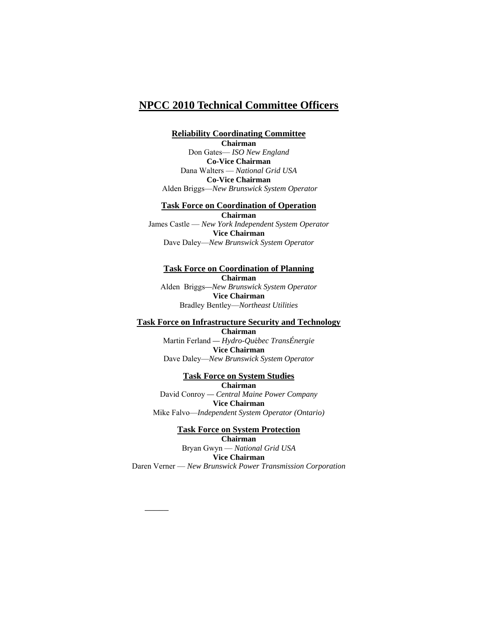# **NPCC 2010 Technical Committee Officers**

# **Reliability Coordinating Committee**

**Chairman**  Don Gates— *ISO New England* 

**Co-Vice Chairman**  Dana Walters — *National Grid USA*  **Co-Vice Chairman**  Alden Briggs—*New Brunswick System Operator* 

# **Task Force on Coordination of Operation**

**Chairman**  James Castle — *New York Independent System Operator*  **Vice Chairman**  Dave Daley—*New Brunswick System Operator* 

# **Task Force on Coordination of Planning Chairman**  Alden Briggs*—New Brunswick System Operator*

**Vice Chairman**  Bradley Bentley—*Northeast Utilities*

#### **Task Force on Infrastructure Security and Technology**

**Chairman**  Martin Ferland *— Hydro-Qu*é*bec TransÉnergie*  **Vice Chairman** Dave Daley—*New Brunswick System Operator* 

**Task Force on System Studies Chairman**  David Conroy *— Central Maine Power Company*  **Vice Chairman** Mike Falvo—*Independent System Operator (Ontario)*

**Task Force on System Protection Chairman**  Bryan Gwyn — *National Grid USA* **Vice Chairman**  Daren Verner — *New Brunswick Power Transmission Corporation*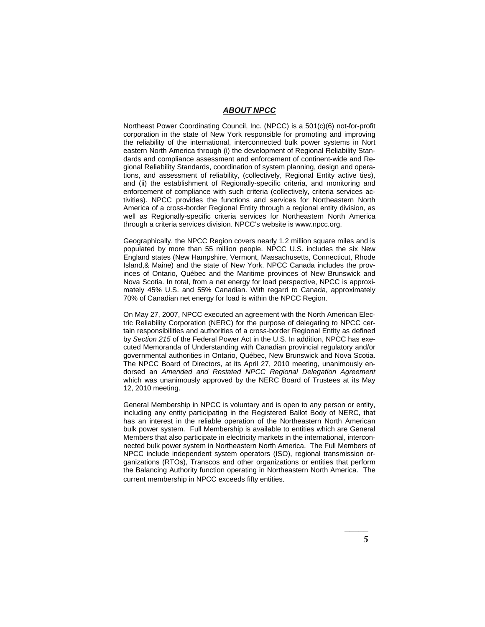#### *ABOUT NPCC*

Northeast Power Coordinating Council, Inc. (NPCC) is a 501(c)(6) not-for-profit corporation in the state of New York responsible for promoting and improving the reliability of the international, interconnected bulk power systems in Nort eastern North America through (i) the development of Regional Reliability Standards and compliance assessment and enforcement of continent-wide and Regional Reliability Standards, coordination of system planning, design and operations, and assessment of reliability, (collectively, Regional Entity active ties), and (ii) the establishment of Regionally-specific criteria, and monitoring and enforcement of compliance with such criteria (collectively, criteria services activities). NPCC provides the functions and services for Northeastern North America of a cross-border Regional Entity through a regional entity division, as well as Regionally-specific criteria services for Northeastern North America through a criteria services division. NPCC's website is www.npcc.org.

Geographically, the NPCC Region covers nearly 1.2 million square miles and is populated by more than 55 million people. NPCC U.S. includes the six New England states (New Hampshire, Vermont, Massachusetts, Connecticut, Rhode Island,& Maine) and the state of New York. NPCC Canada includes the provinces of Ontario, Québec and the Maritime provinces of New Brunswick and Nova Scotia. In total, from a net energy for load perspective, NPCC is approximately 45% U.S. and 55% Canadian. With regard to Canada, approximately 70% of Canadian net energy for load is within the NPCC Region.

On May 27, 2007, NPCC executed an agreement with the North American Electric Reliability Corporation (NERC) for the purpose of delegating to NPCC certain responsibilities and authorities of a cross-border Regional Entity as defined by *Section 215* of the Federal Power Act in the U.S. In addition, NPCC has executed Memoranda of Understanding with Canadian provincial regulatory and/or governmental authorities in Ontario, Québec, New Brunswick and Nova Scotia. The NPCC Board of Directors, at its April 27, 2010 meeting, unanimously endorsed an *Amended and Restated NPCC Regional Delegation Agreement*  which was unanimously approved by the NERC Board of Trustees at its May 12, 2010 meeting.

General Membership in NPCC is voluntary and is open to any person or entity, including any entity participating in the Registered Ballot Body of NERC, that has an interest in the reliable operation of the Northeastern North American bulk power system. Full Membership is available to entities which are General Members that also participate in electricity markets in the international, interconnected bulk power system in Northeastern North America. The Full Members of NPCC include independent system operators (ISO), regional transmission organizations (RTOs), Transcos and other organizations or entities that perform the Balancing Authority function operating in Northeastern North America. The current membership in NPCC exceeds fifty entities*.*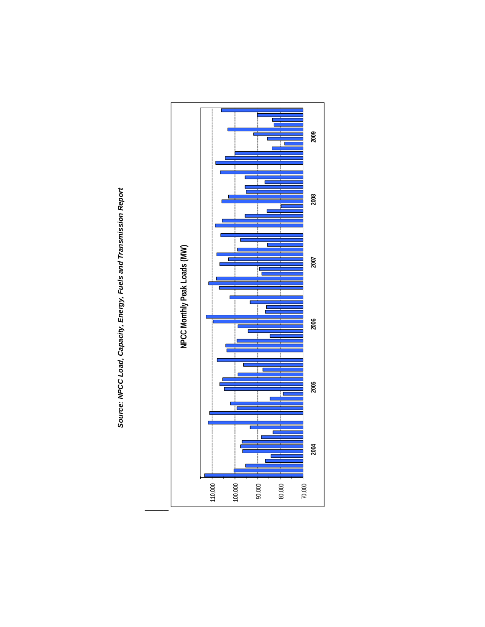

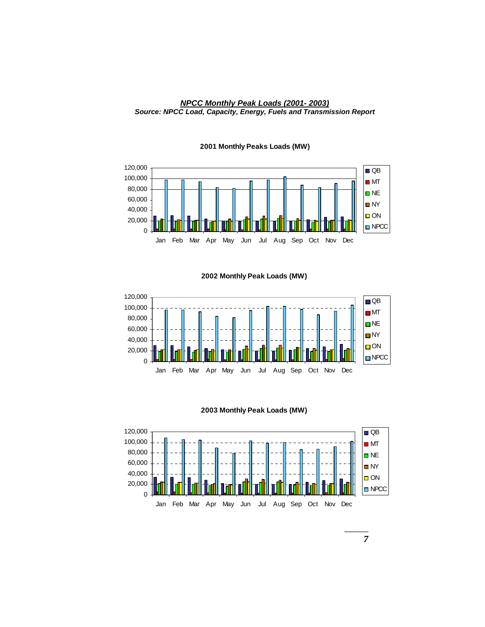#### *NPCC Monthly Peak Loads (2001- 2003) Source: NPCC Load, Capacity, Energy, Fuels and Transmission Report*



#### **2001 Monthly Peaks Loads (MW)**

**2002 Monthly Peak Loads (MW)**



**2003 Monthly Peak Loads (MW)**

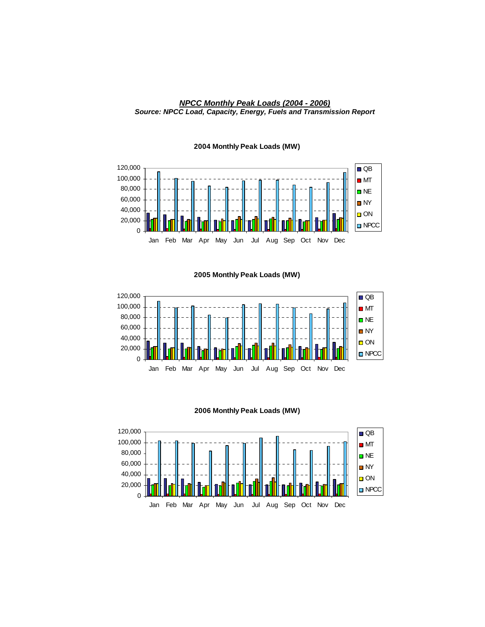



#### **2004 Monthly Peak Loads (MW)**

**2005 Monthly Peak Loads (MW)**



#### **2006 Monthly Peak Loads (MW)**

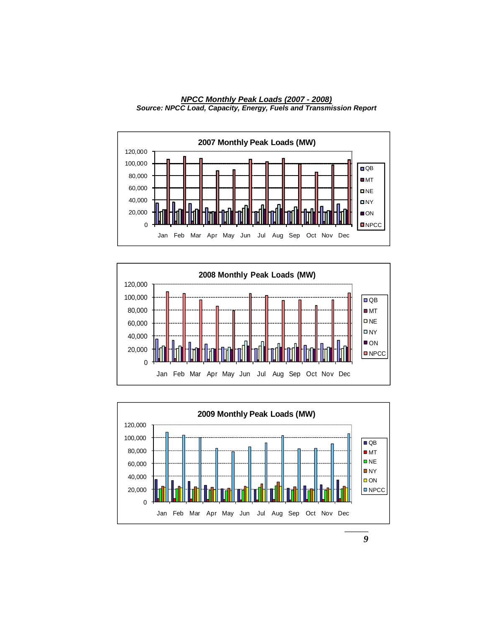

*NPCC Monthly Peak Loads (2007 - 2008) Source: NPCC Load, Capacity, Energy, Fuels and Transmission Report* 





*9*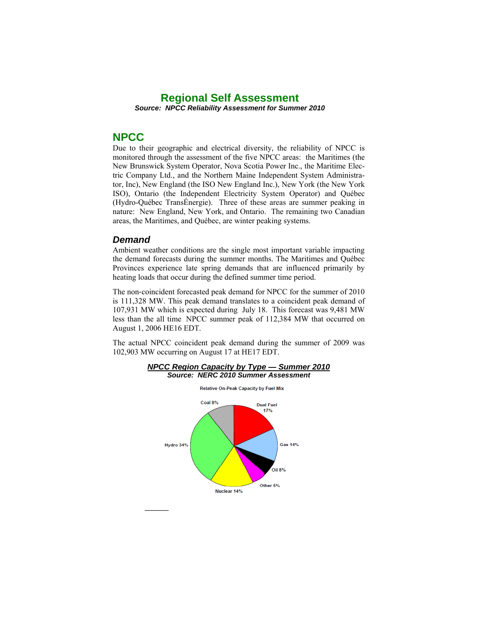# **Regional Self Assessment**  *Source: NPCC Reliability Assessment for Summer 2010*

# **NPCC**

Due to their geographic and electrical diversity, the reliability of NPCC is monitored through the assessment of the five NPCC areas: the Maritimes (the New Brunswick System Operator, Nova Scotia Power Inc., the Maritime Electric Company Ltd., and the Northern Maine Independent System Administrator, Inc), New England (the ISO New England Inc.), New York (the New York ISO), Ontario (the Independent Electricity System Operator) and Québec (Hydro-Québec TransÉnergie). Three of these areas are summer peaking in nature: New England, New York, and Ontario. The remaining two Canadian areas, the Maritimes, and Québec, are winter peaking systems.

## *Demand*

Ambient weather conditions are the single most important variable impacting the demand forecasts during the summer months. The Maritimes and Québec Provinces experience late spring demands that are influenced primarily by heating loads that occur during the defined summer time period.

The non-coincident forecasted peak demand for NPCC for the summer of 2010 is 111,328 MW. This peak demand translates to a coincident peak demand of 107,931 MW which is expected during July 18. This forecast was 9,481 MW less than the all time NPCC summer peak of 112,384 MW that occurred on August 1, 2006 HE16 EDT.

The actual NPCC coincident peak demand during the summer of 2009 was 102,903 MW occurring on August 17 at HE17 EDT.

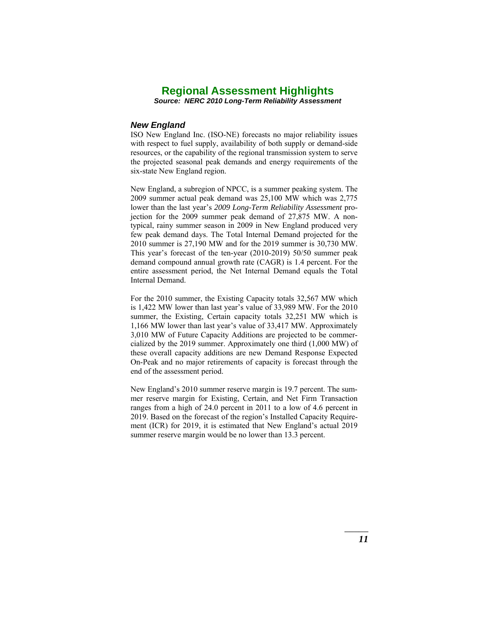*Source: NERC 2010 Long-Term Reliability Assessment* 

#### *New England*

ISO New England Inc. (ISO-NE) forecasts no major reliability issues with respect to fuel supply, availability of both supply or demand-side resources, or the capability of the regional transmission system to serve the projected seasonal peak demands and energy requirements of the six-state New England region.

New England, a subregion of NPCC, is a summer peaking system. The 2009 summer actual peak demand was 25,100 MW which was 2,775 lower than the last year's *2009 Long-Term Reliability Assessment* projection for the 2009 summer peak demand of 27,875 MW. A nontypical, rainy summer season in 2009 in New England produced very few peak demand days. The Total Internal Demand projected for the 2010 summer is 27,190 MW and for the 2019 summer is 30,730 MW. This year's forecast of the ten-year (2010-2019) 50/50 summer peak demand compound annual growth rate (CAGR) is 1.4 percent. For the entire assessment period, the Net Internal Demand equals the Total Internal Demand.

For the 2010 summer, the Existing Capacity totals 32,567 MW which is 1,422 MW lower than last year's value of 33,989 MW. For the 2010 summer, the Existing, Certain capacity totals 32,251 MW which is 1,166 MW lower than last year's value of 33,417 MW. Approximately 3,010 MW of Future Capacity Additions are projected to be commercialized by the 2019 summer. Approximately one third (1,000 MW) of these overall capacity additions are new Demand Response Expected On-Peak and no major retirements of capacity is forecast through the end of the assessment period.

New England's 2010 summer reserve margin is 19.7 percent. The summer reserve margin for Existing, Certain, and Net Firm Transaction ranges from a high of 24.0 percent in 2011 to a low of 4.6 percent in 2019. Based on the forecast of the region's Installed Capacity Requirement (ICR) for 2019, it is estimated that New England's actual 2019 summer reserve margin would be no lower than 13.3 percent.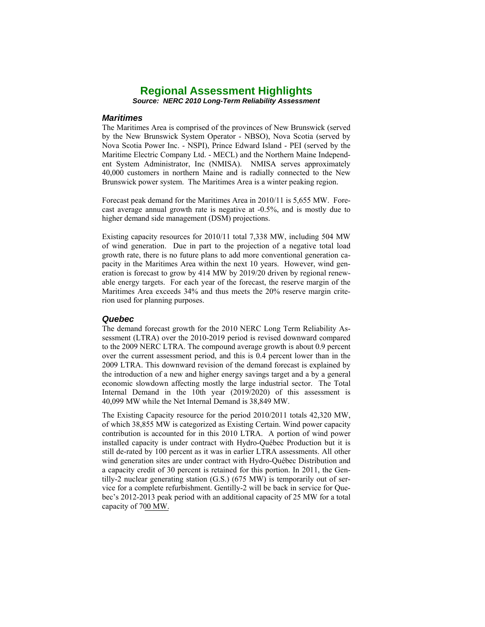*Source: NERC 2010 Long-Term Reliability Assessment* 

#### *Maritimes*

The Maritimes Area is comprised of the provinces of New Brunswick (served by the New Brunswick System Operator - NBSO), Nova Scotia (served by Nova Scotia Power Inc. - NSPI), Prince Edward Island - PEI (served by the Maritime Electric Company Ltd. - MECL) and the Northern Maine Independent System Administrator, Inc (NMISA). NMISA serves approximately 40,000 customers in northern Maine and is radially connected to the New Brunswick power system. The Maritimes Area is a winter peaking region.

Forecast peak demand for the Maritimes Area in 2010/11 is 5,655 MW. Forecast average annual growth rate is negative at -0.5%, and is mostly due to higher demand side management (DSM) projections.

Existing capacity resources for 2010/11 total 7,338 MW, including 504 MW of wind generation. Due in part to the projection of a negative total load growth rate, there is no future plans to add more conventional generation capacity in the Maritimes Area within the next 10 years. However, wind generation is forecast to grow by 414 MW by 2019/20 driven by regional renewable energy targets. For each year of the forecast, the reserve margin of the Maritimes Area exceeds 34% and thus meets the 20% reserve margin criterion used for planning purposes.

#### *Quebec*

The demand forecast growth for the 2010 NERC Long Term Reliability Assessment (LTRA) over the 2010-2019 period is revised downward compared to the 2009 NERC LTRA. The compound average growth is about 0.9 percent over the current assessment period, and this is 0.4 percent lower than in the 2009 LTRA. This downward revision of the demand forecast is explained by the introduction of a new and higher energy savings target and a by a general economic slowdown affecting mostly the large industrial sector. The Total Internal Demand in the 10th year (2019/2020) of this assessment is 40,099 MW while the Net Internal Demand is 38,849 MW.

capacity of 700 MW. The Existing Capacity resource for the period 2010/2011 totals 42,320 MW, of which 38,855 MW is categorized as Existing Certain. Wind power capacity contribution is accounted for in this 2010 LTRA. A portion of wind power installed capacity is under contract with Hydro-Québec Production but it is still de-rated by 100 percent as it was in earlier LTRA assessments. All other wind generation sites are under contract with Hydro-Québec Distribution and a capacity credit of 30 percent is retained for this portion. In 2011, the Gentilly-2 nuclear generating station (G.S.) (675 MW) is temporarily out of service for a complete refurbishment. Gentilly-2 will be back in service for Quebec's 2012-2013 peak period with an additional capacity of 25 MW for a total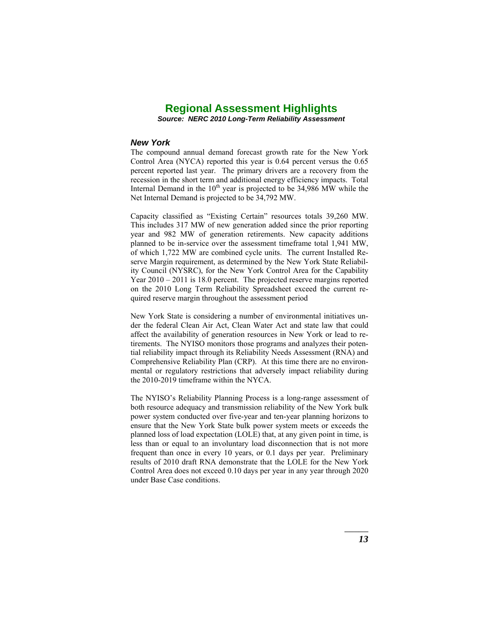*Source: NERC 2010 Long-Term Reliability Assessment* 

#### *New York*

The compound annual demand forecast growth rate for the New York Control Area (NYCA) reported this year is 0.64 percent versus the 0.65 percent reported last year. The primary drivers are a recovery from the recession in the short term and additional energy efficiency impacts. Total Internal Demand in the  $10<sup>th</sup>$  year is projected to be 34,986 MW while the Net Internal Demand is projected to be 34,792 MW.

Capacity classified as "Existing Certain" resources totals 39,260 MW. This includes 317 MW of new generation added since the prior reporting year and 982 MW of generation retirements. New capacity additions planned to be in-service over the assessment timeframe total 1,941 MW, of which 1,722 MW are combined cycle units. The current Installed Reserve Margin requirement, as determined by the New York State Reliability Council (NYSRC), for the New York Control Area for the Capability Year 2010 – 2011 is 18.0 percent. The projected reserve margins reported on the 2010 Long Term Reliability Spreadsheet exceed the current required reserve margin throughout the assessment period

New York State is considering a number of environmental initiatives under the federal Clean Air Act, Clean Water Act and state law that could affect the availability of generation resources in New York or lead to retirements. The NYISO monitors those programs and analyzes their potential reliability impact through its Reliability Needs Assessment (RNA) and Comprehensive Reliability Plan (CRP). At this time there are no environmental or regulatory restrictions that adversely impact reliability during the 2010-2019 timeframe within the NYCA.

The NYISO's Reliability Planning Process is a long-range assessment of both resource adequacy and transmission reliability of the New York bulk power system conducted over five-year and ten-year planning horizons to ensure that the New York State bulk power system meets or exceeds the planned loss of load expectation (LOLE) that, at any given point in time, is less than or equal to an involuntary load disconnection that is not more frequent than once in every 10 years, or 0.1 days per year. Preliminary results of 2010 draft RNA demonstrate that the LOLE for the New York Control Area does not exceed 0.10 days per year in any year through 2020 under Base Case conditions.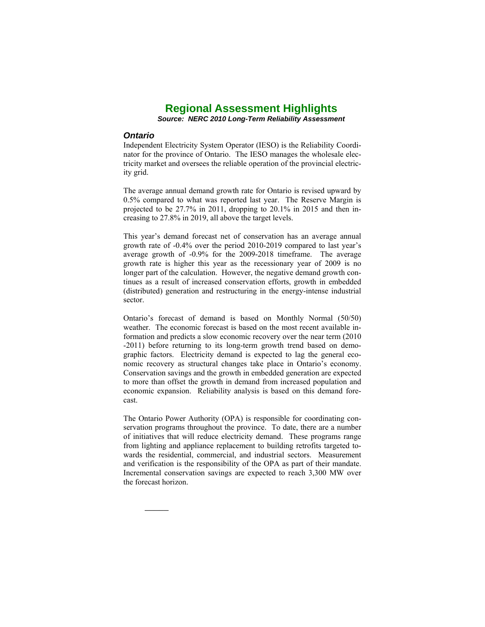*Source: NERC 2010 Long-Term Reliability Assessment* 

#### *Ontario*

*\_\_\_\_\_* 

Independent Electricity System Operator (IESO) is the Reliability Coordinator for the province of Ontario. The IESO manages the wholesale electricity market and oversees the reliable operation of the provincial electricity grid.

The average annual demand growth rate for Ontario is revised upward by 0.5% compared to what was reported last year. The Reserve Margin is projected to be 27.7% in 2011, dropping to 20.1% in 2015 and then increasing to 27.8% in 2019, all above the target levels.

This year's demand forecast net of conservation has an average annual growth rate of -0.4% over the period 2010-2019 compared to last year's average growth of -0.9% for the 2009-2018 timeframe. The average growth rate is higher this year as the recessionary year of 2009 is no longer part of the calculation. However, the negative demand growth continues as a result of increased conservation efforts, growth in embedded (distributed) generation and restructuring in the energy-intense industrial sector.

Ontario's forecast of demand is based on Monthly Normal (50/50) weather. The economic forecast is based on the most recent available information and predicts a slow economic recovery over the near term (2010 -2011) before returning to its long-term growth trend based on demographic factors. Electricity demand is expected to lag the general economic recovery as structural changes take place in Ontario's economy. Conservation savings and the growth in embedded generation are expected to more than offset the growth in demand from increased population and economic expansion. Reliability analysis is based on this demand forecast.

The Ontario Power Authority (OPA) is responsible for coordinating conservation programs throughout the province. To date, there are a number of initiatives that will reduce electricity demand. These programs range from lighting and appliance replacement to building retrofits targeted towards the residential, commercial, and industrial sectors. Measurement and verification is the responsibility of the OPA as part of their mandate. Incremental conservation savings are expected to reach 3,300 MW over the forecast horizon.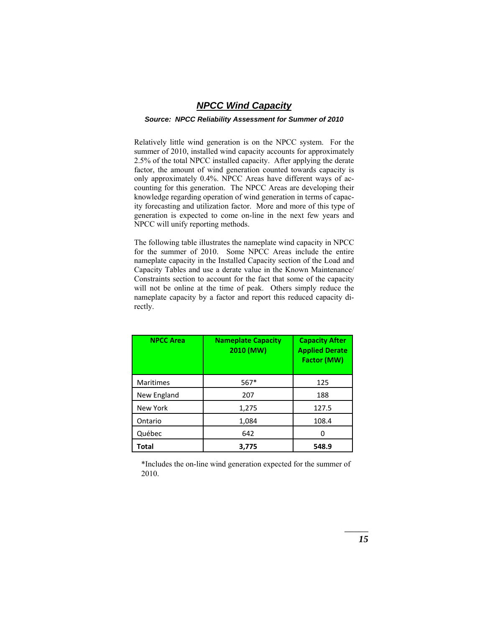# *NPCC Wind Capacity*

#### *Source: NPCC Reliability Assessment for Summer of 2010*

Relatively little wind generation is on the NPCC system. For the summer of 2010, installed wind capacity accounts for approximately 2.5% of the total NPCC installed capacity. After applying the derate factor, the amount of wind generation counted towards capacity is only approximately 0.4%. NPCC Areas have different ways of accounting for this generation. The NPCC Areas are developing their knowledge regarding operation of wind generation in terms of capacity forecasting and utilization factor. More and more of this type of generation is expected to come on-line in the next few years and NPCC will unify reporting methods.

The following table illustrates the nameplate wind capacity in NPCC for the summer of 2010. Some NPCC Areas include the entire nameplate capacity in the Installed Capacity section of the Load and Capacity Tables and use a derate value in the Known Maintenance/ Constraints section to account for the fact that some of the capacity will not be online at the time of peak. Others simply reduce the nameplate capacity by a factor and report this reduced capacity directly.

| <b>NPCC Area</b> | <b>Nameplate Capacity</b><br>2010 (MW) | <b>Capacity After</b><br><b>Applied Derate</b><br>Factor (MW) |
|------------------|----------------------------------------|---------------------------------------------------------------|
| <b>Maritimes</b> | $567*$                                 | 125                                                           |
| New England      | 207                                    | 188                                                           |
| New York         | 1,275                                  | 127.5                                                         |
| Ontario          | 1,084                                  | 108.4                                                         |
| Québec           | 642                                    |                                                               |
| Total            | 3,775                                  | 548.9                                                         |

\*Includes the on-line wind generation expected for the summer of 2010.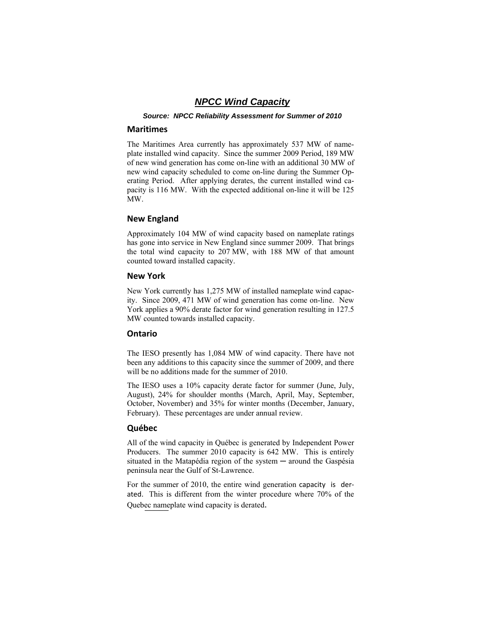# *NPCC Wind Capacity*

*Source: NPCC Reliability Assessment for Summer of 2010* 

#### **Maritimes**

The Maritimes Area currently has approximately 537 MW of nameplate installed wind capacity. Since the summer 2009 Period, 189 MW of new wind generation has come on-line with an additional 30 MW of new wind capacity scheduled to come on-line during the Summer Operating Period. After applying derates, the current installed wind capacity is 116 MW. With the expected additional on-line it will be 125 MW.

#### **New England**

Approximately 104 MW of wind capacity based on nameplate ratings has gone into service in New England since summer 2009. That brings the total wind capacity to 207 MW, with 188 MW of that amount counted toward installed capacity.

#### **New York**

New York currently has 1,275 MW of installed nameplate wind capacity. Since 2009, 471 MW of wind generation has come on-line. New York applies a 90% derate factor for wind generation resulting in 127.5 MW counted towards installed capacity.

#### **Ontario**

The IESO presently has 1,084 MW of wind capacity. There have not been any additions to this capacity since the summer of 2009, and there will be no additions made for the summer of 2010.

The IESO uses a 10% capacity derate factor for summer (June, July, August), 24% for shoulder months (March, April, May, September, October, November) and 35% for winter months (December, January, February). These percentages are under annual review.

#### **Québec**

All of the wind capacity in Québec is generated by Independent Power Producers. The summer 2010 capacity is 642 MW. This is entirely situated in the Matapédia region of the system — around the Gaspésia peninsula near the Gulf of St-Lawrence.

Quebec nameplate wind capacity is derated. For the summer of 2010, the entire wind generation capacity is derated. This is different from the winter procedure where 70% of the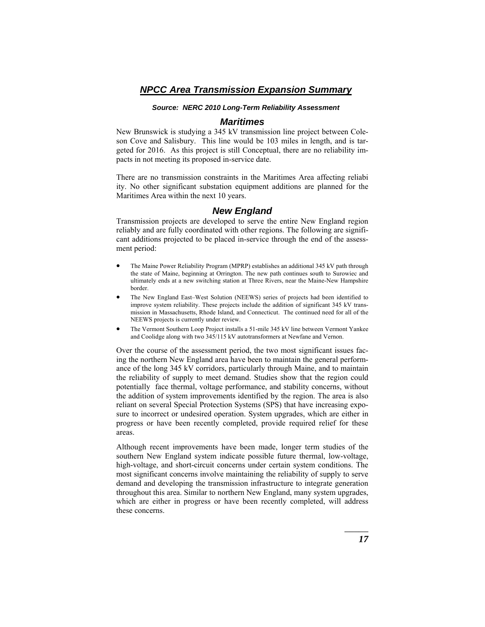#### *Source: NERC 2010 Long-Term Reliability Assessment*

## *Maritimes*

New Brunswick is studying a 345 kV transmission line project between Coleson Cove and Salisbury. This line would be 103 miles in length, and is targeted for 2016. As this project is still Conceptual, there are no reliability impacts in not meeting its proposed in-service date.

There are no transmission constraints in the Maritimes Area affecting reliabi ity. No other significant substation equipment additions are planned for the Maritimes Area within the next 10 years.

#### *New England*

Transmission projects are developed to serve the entire New England region reliably and are fully coordinated with other regions. The following are significant additions projected to be placed in-service through the end of the assessment period:

- The Maine Power Reliability Program (MPRP) establishes an additional 345 kV path through the state of Maine, beginning at Orrington. The new path continues south to Surowiec and ultimately ends at a new switching station at Three Rivers, near the Maine-New Hampshire border.
- The New England East–West Solution (NEEWS) series of projects had been identified to improve system reliability. These projects include the addition of significant 345 kV transmission in Massachusetts, Rhode Island, and Connecticut. The continued need for all of the NEEWS projects is currently under review.
- The Vermont Southern Loop Project installs a 51-mile 345 kV line between Vermont Yankee and Coolidge along with two 345/115 kV autotransformers at Newfane and Vernon.

Over the course of the assessment period, the two most significant issues facing the northern New England area have been to maintain the general performance of the long 345 kV corridors, particularly through Maine, and to maintain the reliability of supply to meet demand. Studies show that the region could potentially face thermal, voltage performance, and stability concerns, without the addition of system improvements identified by the region. The area is also reliant on several Special Protection Systems (SPS) that have increasing exposure to incorrect or undesired operation. System upgrades, which are either in progress or have been recently completed, provide required relief for these areas.

Although recent improvements have been made, longer term studies of the southern New England system indicate possible future thermal, low-voltage, high-voltage, and short-circuit concerns under certain system conditions. The most significant concerns involve maintaining the reliability of supply to serve demand and developing the transmission infrastructure to integrate generation throughout this area. Similar to northern New England, many system upgrades, which are either in progress or have been recently completed, will address these concerns.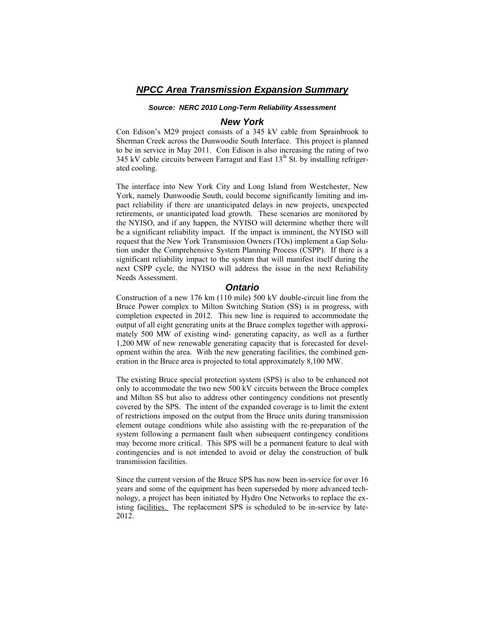#### *Source: NERC 2010 Long-Term Reliability Assessment*

## *New York*

Con Edison's M29 project consists of a 345 kV cable from Sprainbrook to Sherman Creek across the Dunwoodie South Interface. This project is planned to be in service in May 2011. Con Edison is also increasing the rating of two 345 kV cable circuits between Farragut and East  $13<sup>th</sup>$  St. by installing refrigerated cooling.

The interface into New York City and Long Island from Westchester, New York, namely Dunwoodie South, could become significantly limiting and impact reliability if there are unanticipated delays in new projects, unexpected retirements, or unanticipated load growth. These scenarios are monitored by the NYISO, and if any happen, the NYISO will determine whether there will be a significant reliability impact. If the impact is imminent, the NYISO will request that the New York Transmission Owners (TOs) implement a Gap Solution under the Comprehensive System Planning Process (CSPP). If there is a significant reliability impact to the system that will manifest itself during the next CSPP cycle, the NYISO will address the issue in the next Reliability Needs Assessment.

#### *Ontario*

Construction of a new 176 km (110 mile) 500 kV double-circuit line from the Bruce Power complex to Milton Switching Station (SS) is in progress, with completion expected in 2012. This new line is required to accommodate the output of all eight generating units at the Bruce complex together with approximately 500 MW of existing wind- generating capacity, as well as a further 1,200 MW of new renewable generating capacity that is forecasted for development within the area. With the new generating facilities, the combined generation in the Bruce area is projected to total approximately 8,100 MW.

The existing Bruce special protection system (SPS) is also to be enhanced not only to accommodate the two new 500 kV circuits between the Bruce complex and Milton SS but also to address other contingency conditions not presently covered by the SPS. The intent of the expanded coverage is to limit the extent of restrictions imposed on the output from the Bruce units during transmission element outage conditions while also assisting with the re-preparation of the system following a permanent fault when subsequent contingency conditions may become more critical. This SPS will be a permanent feature to deal with contingencies and is not intended to avoid or delay the construction of bulk transmission facilities.

isting facilities. The replacement SPS is scheduled to be in-service by late-Since the current version of the Bruce SPS has now been in-service for over 16 years and some of the equipment has been superseded by more advanced technology, a project has been initiated by Hydro One Networks to replace the ex-2012.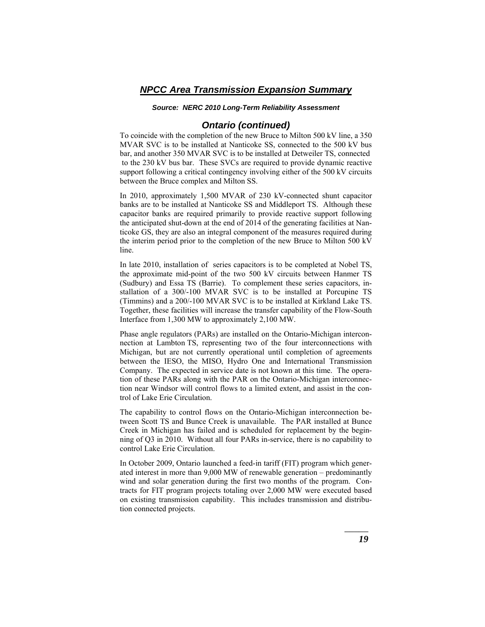#### *Source: NERC 2010 Long-Term Reliability Assessment*

## *Ontario (continued)*

To coincide with the completion of the new Bruce to Milton 500 kV line, a 350 MVAR SVC is to be installed at Nanticoke SS, connected to the 500 kV bus bar, and another 350 MVAR SVC is to be installed at Detweiler TS, connected to the 230 kV bus bar. These SVCs are required to provide dynamic reactive support following a critical contingency involving either of the 500 kV circuits between the Bruce complex and Milton SS.

In 2010, approximately 1,500 MVAR of 230 kV-connected shunt capacitor banks are to be installed at Nanticoke SS and Middleport TS. Although these capacitor banks are required primarily to provide reactive support following the anticipated shut-down at the end of 2014 of the generating facilities at Nanticoke GS, they are also an integral component of the measures required during the interim period prior to the completion of the new Bruce to Milton 500 kV line.

In late 2010, installation of series capacitors is to be completed at Nobel TS, the approximate mid-point of the two 500 kV circuits between Hanmer TS (Sudbury) and Essa TS (Barrie). To complement these series capacitors, installation of a 300/-100 MVAR SVC is to be installed at Porcupine TS (Timmins) and a 200/-100 MVAR SVC is to be installed at Kirkland Lake TS. Together, these facilities will increase the transfer capability of the Flow-South Interface from 1,300 MW to approximately 2,100 MW.

Phase angle regulators (PARs) are installed on the Ontario-Michigan interconnection at Lambton TS, representing two of the four interconnections with Michigan, but are not currently operational until completion of agreements between the IESO, the MISO, Hydro One and International Transmission Company. The expected in service date is not known at this time. The operation of these PARs along with the PAR on the Ontario-Michigan interconnection near Windsor will control flows to a limited extent, and assist in the control of Lake Erie Circulation.

The capability to control flows on the Ontario-Michigan interconnection between Scott TS and Bunce Creek is unavailable. The PAR installed at Bunce Creek in Michigan has failed and is scheduled for replacement by the beginning of Q3 in 2010. Without all four PARs in-service, there is no capability to control Lake Erie Circulation.

In October 2009, Ontario launched a feed-in tariff (FIT) program which generated interest in more than 9,000 MW of renewable generation – predominantly wind and solar generation during the first two months of the program. Contracts for FIT program projects totaling over 2,000 MW were executed based on existing transmission capability. This includes transmission and distribution connected projects.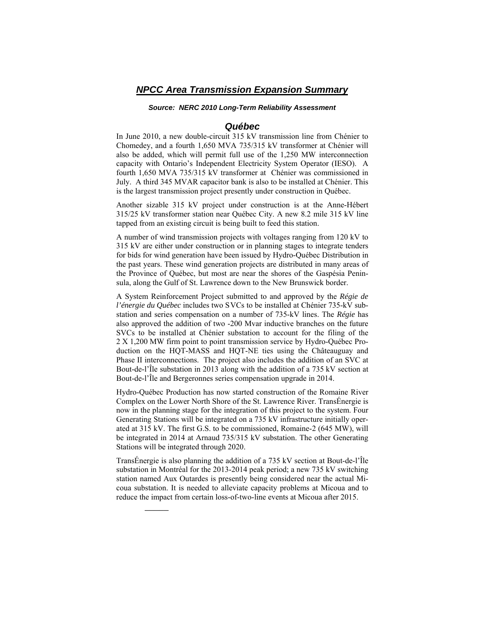#### *Source: NERC 2010 Long-Term Reliability Assessment*

#### *Québec*

In June 2010, a new double-circuit 315 kV transmission line from Chénier to Chomedey, and a fourth 1,650 MVA 735/315 kV transformer at Chénier will also be added, which will permit full use of the 1,250 MW interconnection capacity with Ontario's Independent Electricity System Operator (IESO). A fourth 1,650 MVA 735/315 kV transformer at Chénier was commissioned in July. A third 345 MVAR capacitor bank is also to be installed at Chénier. This is the largest transmission project presently under construction in Québec.

Another sizable 315 kV project under construction is at the Anne-Hébert 315/25 kV transformer station near Québec City. A new 8.2 mile 315 kV line tapped from an existing circuit is being built to feed this station.

A number of wind transmission projects with voltages ranging from 120 kV to 315 kV are either under construction or in planning stages to integrate tenders for bids for wind generation have been issued by Hydro-Québec Distribution in the past years. These wind generation projects are distributed in many areas of the Province of Québec, but most are near the shores of the Gaspésia Peninsula, along the Gulf of St. Lawrence down to the New Brunswick border.

A System Reinforcement Project submitted to and approved by the *Régie de l'énergie du Québec* includes two S VCs to be installed at Chénier 735-kV substation and series compensation on a number of 735-kV lines. The *Régie* has also approved the addition of two -200 Mvar inductive branches on the future SVCs to be installed at Chénier substation to account for the filing of the 2 X 1,200 MW firm point to point transmission service by Hydro-Québec Production on the HQT-MASS and HQT-NE ties using the Châteauguay and Phase II interconnections. The project also includes the addition of an SVC at Bout-de-l'Île substation in 2013 along with the addition of a 735 kV section at Bout-de-l'Île and Bergeronnes series compensation upgrade in 2014.

Hydro-Québec Production has now started construction of the Romaine River Complex on the Lower North Shore of the St. Lawrence River. TransÉnergie is now in the planning stage for the integration of this project to the system. Four Generating Stations will be integrated on a 735 kV infrastructure initially operated at 315 kV. The first G.S. to be commissioned, Romaine-2 (645 MW), will be integrated in 2014 at Arnaud 735/315 kV substation. The other Generating Stations will be integrated through 2020.

TransÉnergie is also planning the addition of a 735 kV section at Bout-de-l'Île substation in Montréal for the 2013-2014 peak period; a new 735 kV switching station named Aux Outardes is presently being considered near the actual Micoua substation. It is needed to alleviate capacity problems at Micoua and to reduce the impact from certain loss-of-two-line events at Micoua after 2015.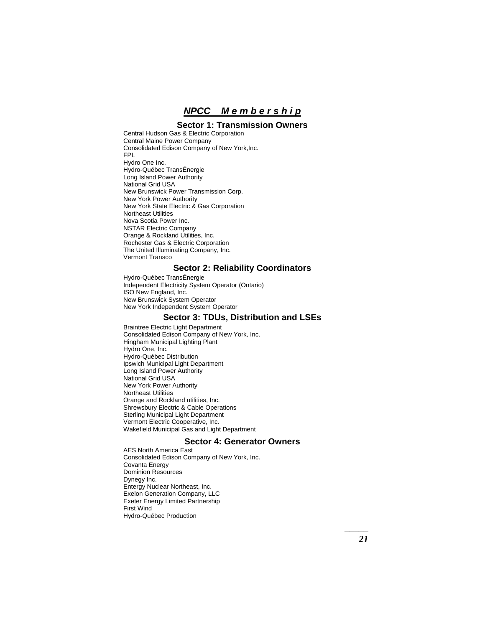*NPCC M e m b e r s h i p*

## **Sector 1: Transmission Owners**

 Central Hudson Gas & Electric Corporation Central Maine Power Company Consolidated Edison Company of New York,Inc. FPL Hydro One Inc. Hydro-Québec TransÉnergie Long Island Power Authority National Grid USA New Brunswick Power Transmission Corp. New York Power Authority New York State Electric & Gas Corporation Northeast Utilities Nova Scotia Power Inc. NSTAR Electric Company Orange & Rockland Utilities, Inc. Rochester Gas & Electric Corporation The United Illuminating Company, Inc. Vermont Transco

#### **Sector 2: Reliability Coordinators**

 Hydro-Québec TransÉnergie Independent Electricity System Operator (Ontario) ISO New England, Inc. New Brunswick System Operator New York Independent System Operator

# **Sector 3: TDUs, Distribution and LSEs**

 Braintree Electric Light Department Consolidated Edison Company of New York, Inc. Hingham Municipal Lighting Plant Hydro One, Inc. Hydro-Québec Distribution Ipswich Municipal Light Department Long Island Power Authority National Grid USA New York Power Authority Northeast Utilities Orange and Rockland utilities, Inc. Shrewsbury Electric & Cable Operations Sterling Municipal Light Department Vermont Electric Cooperative, Inc. Wakefield Municipal Gas and Light Department

#### **Sector 4: Generator Owners**

 AES North America East Consolidated Edison Company of New York, Inc. Covanta Energy Dominion Resources Dynegy Inc. Entergy Nuclear Northeast, Inc. Exelon Generation Company, LLC Exeter Energy Limited Partnership First Wind Hydro-Québec Production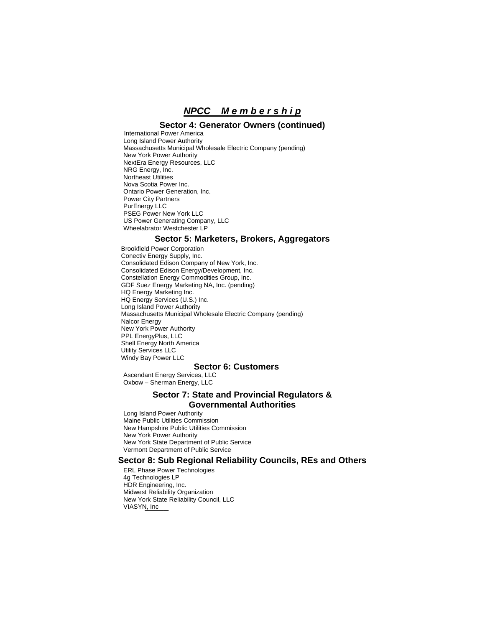# *NPCC M e m b e r s h i p*

#### **Sector 4: Generator Owners (continued)**

International Power America Long Island Power Authority Massachusetts Municipal Wholesale Electric Company (pending) New York Power Authority NextEra Energy Resources, LLC NRG Energy, Inc. Northeast Utilities Nova Scotia Power Inc. Ontario Power Generation, Inc. Power City Partners PurEnergy LLC **PSEG Power New York LLC** US Power Generating Company, LLC Wheelabrator Westchester LP

#### **Sector 5: Marketers, Brokers, Aggregators**

Brookfield Power Corporation Conectiv Energy Supply, Inc. Consolidated Edison Company of New York, Inc. Consolidated Edison Energy/Development, Inc. Constellation Energy Commodities Group, Inc. GDF Suez Energy Marketing NA, Inc. (pending) HQ Energy Marketing Inc. HQ Energy Services (U.S.) Inc. Long Island Power Authority Massachusetts Municipal Wholesale Electric Company (pending) Nalcor Energy New York Power Authority PPL EnergyPlus, LLC Shell Energy North America Utility Services LLC Windy Bay Power LLC

## **Sector 6: Customers**

 Ascendant Energy Services, LLC Oxbow – Sherman Energy, LLC

#### **Sector 7: State and Provincial Regulators & Governmental Authorities**

 Long Island Power Authority Maine Public Utilities Commission New Hampshire Public Utilities Commission New York Power Authority New York State Department of Public Service Vermont Department of Public Service

#### **Sector 8: Sub Regional Reliability Councils, REs and Others**

VIASYN, Inc ERL Phase Power Technologies 4g Technologies LP HDR Engineering, Inc. Midwest Reliability Organization New York State Reliability Council, LLC